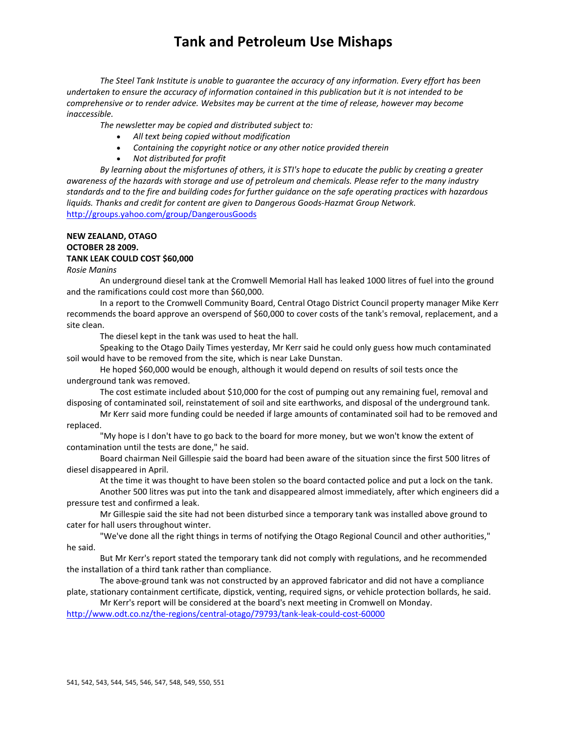*The Steel Tank Institute is unable to guarantee the accuracy of any information. Every effort has been* undertaken to ensure the accuracy of information contained in this publication but it is not intended to be *comprehensive or to render advice. Websites may be current at the time of release, however may become inaccessible.*

*The newsletter may be copied and distributed subject to:*

- *All text being copied without modification*
- *Containing the copyright notice or any other notice provided therein*
- *Not distributed for profit*

By learning about the misfortunes of others, it is STI's hope to educate the public by creating a greater awareness of the hazards with storage and use of petroleum and chemicals. Please refer to the many industry standards and to the fire and building codes for further guidance on the safe operating practices with hazardous *liquids. Thanks and credit for content are given to Dangerous Goods‐Hazmat Group Network.*  http://groups.yahoo.com/group/DangerousGoods

#### **NEW ZEALAND, OTAGO OCTOBER 28 2009. TANK LEAK COULD COST \$60,000**

*Rosie Manins*

An underground diesel tank at the Cromwell Memorial Hall has leaked 1000 litres of fuel into the ground and the ramifications could cost more than \$60,000.

In a report to the Cromwell Community Board, Central Otago District Council property manager Mike Kerr recommends the board approve an overspend of \$60,000 to cover costs of the tank's removal, replacement, and a site clean.

The diesel kept in the tank was used to heat the hall.

Speaking to the Otago Daily Times yesterday, Mr Kerr said he could only guess how much contaminated soil would have to be removed from the site, which is near Lake Dunstan.

He hoped \$60,000 would be enough, although it would depend on results of soil tests once the underground tank was removed.

The cost estimate included about \$10,000 for the cost of pumping out any remaining fuel, removal and disposing of contaminated soil, reinstatement of soil and site earthworks, and disposal of the underground tank.

Mr Kerr said more funding could be needed if large amounts of contaminated soil had to be removed and replaced.

"My hope is I don't have to go back to the board for more money, but we won't know the extent of contamination until the tests are done," he said.

Board chairman Neil Gillespie said the board had been aware of the situation since the first 500 litres of diesel disappeared in April.

At the time it was thought to have been stolen so the board contacted police and put a lock on the tank.

Another 500 litres was put into the tank and disappeared almost immediately, after which engineers did a pressure test and confirmed a leak.

Mr Gillespie said the site had not been disturbed since a temporary tank was installed above ground to cater for hall users throughout winter.

"We've done all the right things in terms of notifying the Otago Regional Council and other authorities," he said.

But Mr Kerr's report stated the temporary tank did not comply with regulations, and he recommended the installation of a third tank rather than compliance.

The above-ground tank was not constructed by an approved fabricator and did not have a compliance plate, stationary containment certificate, dipstick, venting, required signs, or vehicle protection bollards, he said.

Mr Kerr's report will be considered at the board's next meeting in Cromwell on Monday.

http://www.odt.co.nz/the‐regions/central‐otago/79793/tank‐leak‐could‐cost‐60000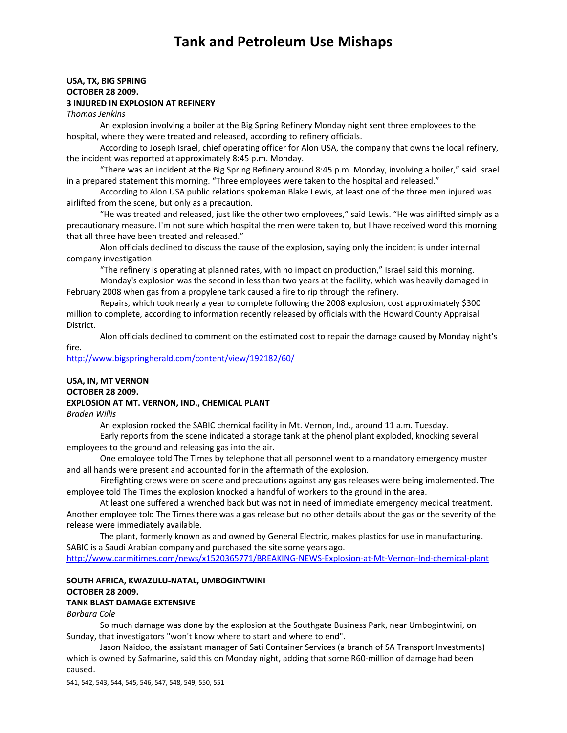#### **USA, TX, BIG SPRING OCTOBER 28 2009. 3 INJURED IN EXPLOSION AT REFINERY**

*Thomas Jenkins*

An explosion involving a boiler at the Big Spring Refinery Monday night sent three employees to the hospital, where they were treated and released, according to refinery officials.

According to Joseph Israel, chief operating officer for Alon USA, the company that owns the local refinery, the incident was reported at approximately 8:45 p.m. Monday.

"There was an incident at the Big Spring Refinery around 8:45 p.m. Monday, involving a boiler," said Israel in a prepared statement this morning. "Three employees were taken to the hospital and released."

According to Alon USA public relations spokeman Blake Lewis, at least one of the three men injured was airlifted from the scene, but only as a precaution.

"He was treated and released, just like the other two employees," said Lewis. "He was airlifted simply as a precautionary measure. I'm not sure which hospital the men were taken to, but I have received word this morning that all three have been treated and released."

Alon officials declined to discuss the cause of the explosion, saying only the incident is under internal company investigation.

"The refinery is operating at planned rates, with no impact on production," Israel said this morning.

Monday's explosion was the second in less than two years at the facility, which was heavily damaged in February 2008 when gas from a propylene tank caused a fire to rip through the refinery.

Repairs, which took nearly a year to complete following the 2008 explosion, cost approximately \$300 million to complete, according to information recently released by officials with the Howard County Appraisal District.

Alon officials declined to comment on the estimated cost to repair the damage caused by Monday night's fire.

http://www.bigspringherald.com/content/view/192182/60/

## **USA, IN, MT VERNON OCTOBER 28 2009. EXPLOSION AT MT. VERNON, IND., CHEMICAL PLANT**

*Braden Willis*

An explosion rocked the SABIC chemical facility in Mt. Vernon, Ind., around 11 a.m. Tuesday.

Early reports from the scene indicated a storage tank at the phenol plant exploded, knocking several employees to the ground and releasing gas into the air.

One employee told The Times by telephone that all personnel went to a mandatory emergency muster and all hands were present and accounted for in the aftermath of the explosion.

Firefighting crews were on scene and precautions against any gas releases were being implemented. The employee told The Times the explosion knocked a handful of workers to the ground in the area.

At least one suffered a wrenched back but was not in need of immediate emergency medical treatment. Another employee told The Times there was a gas release but no other details about the gas or the severity of the release were immediately available.

The plant, formerly known as and owned by General Electric, makes plastics for use in manufacturing. SABIC is a Saudi Arabian company and purchased the site some years ago.

http://www.carmitimes.com/news/x1520365771/BREAKING‐NEWS‐Explosion‐at‐Mt‐Vernon‐Ind‐chemical‐plant

### **SOUTH AFRICA, KWAZULU‐NATAL, UMBOGINTWINI OCTOBER 28 2009.**

#### **TANK BLAST DAMAGE EXTENSIVE**

*Barbara Cole*

So much damage was done by the explosion at the Southgate Business Park, near Umbogintwini, on Sunday, that investigators "won't know where to start and where to end".

Jason Naidoo, the assistant manager of Sati Container Services (a branch of SA Transport Investments) which is owned by Safmarine, said this on Monday night, adding that some R60-million of damage had been caused.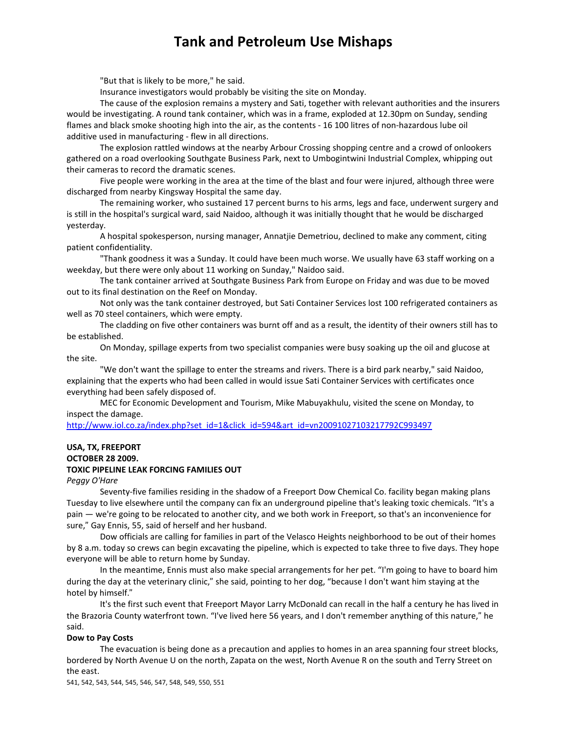"But that is likely to be more," he said.

Insurance investigators would probably be visiting the site on Monday.

The cause of the explosion remains a mystery and Sati, together with relevant authorities and the insurers would be investigating. A round tank container, which was in a frame, exploded at 12.30pm on Sunday, sending flames and black smoke shooting high into the air, as the contents - 16 100 litres of non-hazardous lube oil additive used in manufacturing ‐ flew in all directions.

The explosion rattled windows at the nearby Arbour Crossing shopping centre and a crowd of onlookers gathered on a road overlooking Southgate Business Park, next to Umbogintwini Industrial Complex, whipping out their cameras to record the dramatic scenes.

Five people were working in the area at the time of the blast and four were injured, although three were discharged from nearby Kingsway Hospital the same day.

The remaining worker, who sustained 17 percent burns to his arms, legs and face, underwent surgery and is still in the hospital's surgical ward, said Naidoo, although it was initially thought that he would be discharged yesterday.

A hospital spokesperson, nursing manager, Annatjie Demetriou, declined to make any comment, citing patient confidentiality.

"Thank goodness it was a Sunday. It could have been much worse. We usually have 63 staff working on a weekday, but there were only about 11 working on Sunday," Naidoo said.

The tank container arrived at Southgate Business Park from Europe on Friday and was due to be moved out to its final destination on the Reef on Monday.

Not only was the tank container destroyed, but Sati Container Services lost 100 refrigerated containers as well as 70 steel containers, which were empty.

The cladding on five other containers was burnt off and as a result, the identity of their owners still has to be established.

On Monday, spillage experts from two specialist companies were busy soaking up the oil and glucose at the site.

"We don't want the spillage to enter the streams and rivers. There is a bird park nearby," said Naidoo, explaining that the experts who had been called in would issue Sati Container Services with certificates once everything had been safely disposed of.

MEC for Economic Development and Tourism, Mike Mabuyakhulu, visited the scene on Monday, to inspect the damage.

http://www.iol.co.za/index.php?set\_id=1&click\_id=594&art\_id=vn20091027103217792C993497

#### **USA, TX, FREEPORT OCTOBER 28 2009.**

### **TOXIC PIPELINE LEAK FORCING FAMILIES OUT**

*Peggy O'Hare*

Seventy-five families residing in the shadow of a Freeport Dow Chemical Co. facility began making plans Tuesday to live elsewhere until the company can fix an underground pipeline that's leaking toxic chemicals. "It's a pain — we're going to be relocated to another city, and we both work in Freeport, so that's an inconvenience for sure," Gay Ennis, 55, said of herself and her husband.

Dow officials are calling for families in part of the Velasco Heights neighborhood to be out of their homes by 8 a.m. today so crews can begin excavating the pipeline, which is expected to take three to five days. They hope everyone will be able to return home by Sunday.

In the meantime, Ennis must also make special arrangements for her pet. "I'm going to have to board him during the day at the veterinary clinic," she said, pointing to her dog, "because I don't want him staying at the hotel by himself."

It's the first such event that Freeport Mayor Larry McDonald can recall in the half a century he has lived in the Brazoria County waterfront town. "I've lived here 56 years, and I don't remember anything of this nature," he said.

#### **Dow to Pay Costs**

The evacuation is being done as a precaution and applies to homes in an area spanning four street blocks, bordered by North Avenue U on the north, Zapata on the west, North Avenue R on the south and Terry Street on the east.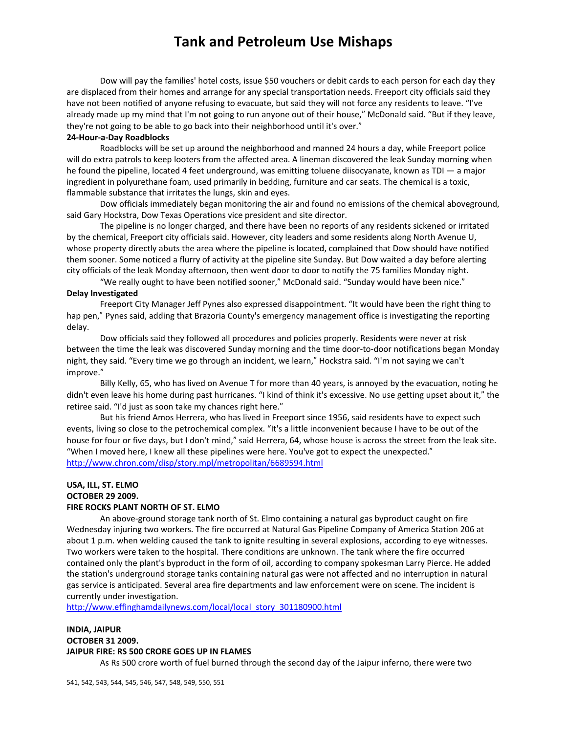Dow will pay the families' hotel costs, issue \$50 vouchers or debit cards to each person for each day they are displaced from their homes and arrange for any special transportation needs. Freeport city officials said they have not been notified of anyone refusing to evacuate, but said they will not force any residents to leave. "I've already made up my mind that I'm not going to run anyone out of their house," McDonald said. "But if they leave, they're not going to be able to go back into their neighborhood until it's over."

### **24‐Hour‐a‐Day Roadblocks**

Roadblocks will be set up around the neighborhood and manned 24 hours a day, while Freeport police will do extra patrols to keep looters from the affected area. A lineman discovered the leak Sunday morning when he found the pipeline, located 4 feet underground, was emitting toluene diisocyanate, known as TDI — a major ingredient in polyurethane foam, used primarily in bedding, furniture and car seats. The chemical is a toxic, flammable substance that irritates the lungs, skin and eyes.

Dow officials immediately began monitoring the air and found no emissions of the chemical aboveground, said Gary Hockstra, Dow Texas Operations vice president and site director.

The pipeline is no longer charged, and there have been no reports of any residents sickened or irritated by the chemical, Freeport city officials said. However, city leaders and some residents along North Avenue U, whose property directly abuts the area where the pipeline is located, complained that Dow should have notified them sooner. Some noticed a flurry of activity at the pipeline site Sunday. But Dow waited a day before alerting city officials of the leak Monday afternoon, then went door to door to notify the 75 families Monday night.

"We really ought to have been notified sooner," McDonald said. "Sunday would have been nice."

### **Delay Investigated**

Freeport City Manager Jeff Pynes also expressed disappointment. "It would have been the right thing to hap pen," Pynes said, adding that Brazoria County's emergency management office is investigating the reporting delay.

Dow officials said they followed all procedures and policies properly. Residents were never at risk between the time the leak was discovered Sunday morning and the time door‐to‐door notifications began Monday night, they said. "Every time we go through an incident, we learn," Hockstra said. "I'm not saying we can't improve."

Billy Kelly, 65, who has lived on Avenue T for more than 40 years, is annoyed by the evacuation, noting he didn't even leave his home during past hurricanes. "I kind of think it's excessive. No use getting upset about it," the retiree said. "I'd just as soon take my chances right here."

But his friend Amos Herrera, who has lived in Freeport since 1956, said residents have to expect such events, living so close to the petrochemical complex. "It's a little inconvenient because I have to be out of the house for four or five days, but I don't mind," said Herrera, 64, whose house is across the street from the leak site. "When I moved here, I knew all these pipelines were here. You've got to expect the unexpected." http://www.chron.com/disp/story.mpl/metropolitan/6689594.html

#### **USA, ILL, ST. ELMO OCTOBER 29 2009. FIRE ROCKS PLANT NORTH OF ST. ELMO**

## An above‐ground storage tank north of St. Elmo containing a natural gas byproduct caught on fire Wednesday injuring two workers. The fire occurred at Natural Gas Pipeline Company of America Station 206 at about 1 p.m. when welding caused the tank to ignite resulting in several explosions, according to eye witnesses. Two workers were taken to the hospital. There conditions are unknown. The tank where the fire occurred contained only the plant's byproduct in the form of oil, according to company spokesman Larry Pierce. He added the station's underground storage tanks containing natural gas were not affected and no interruption in natural

gas service is anticipated. Several area fire departments and law enforcement were on scene. The incident is currently under investigation.

http://www.effinghamdailynews.com/local/local\_story\_301180900.html

### **INDIA, JAIPUR OCTOBER 31 2009. JAIPUR FIRE: RS 500 CRORE GOES UP IN FLAMES**

As Rs 500 crore worth of fuel burned through the second day of the Jaipur inferno, there were two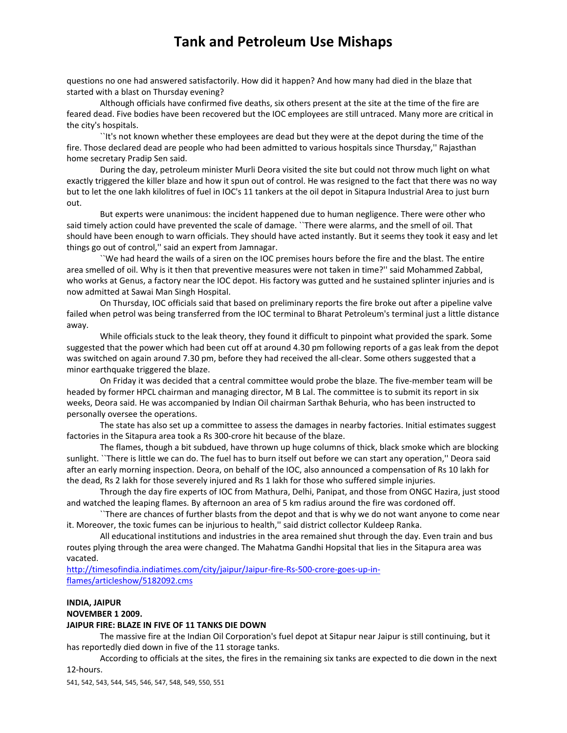questions no one had answered satisfactorily. How did it happen? And how many had died in the blaze that started with a blast on Thursday evening?

Although officials have confirmed five deaths, six others present at the site at the time of the fire are feared dead. Five bodies have been recovered but the IOC employees are still untraced. Many more are critical in the city's hospitals.

``It's not known whether these employees are dead but they were at the depot during the time of the fire. Those declared dead are people who had been admitted to various hospitals since Thursday,'' Rajasthan home secretary Pradip Sen said.

During the day, petroleum minister Murli Deora visited the site but could not throw much light on what exactly triggered the killer blaze and how it spun out of control. He was resigned to the fact that there was no way but to let the one lakh kilolitres of fuel in IOC's 11 tankers at the oil depot in Sitapura Industrial Area to just burn out.

But experts were unanimous: the incident happened due to human negligence. There were other who said timely action could have prevented the scale of damage. ``There were alarms, and the smell of oil. That should have been enough to warn officials. They should have acted instantly. But it seems they took it easy and let things go out of control,'' said an expert from Jamnagar.

``We had heard the wails of a siren on the IOC premises hours before the fire and the blast. The entire area smelled of oil. Why is it then that preventive measures were not taken in time?'' said Mohammed Zabbal, who works at Genus, a factory near the IOC depot. His factory was gutted and he sustained splinter injuries and is now admitted at Sawai Man Singh Hospital.

On Thursday, IOC officials said that based on preliminary reports the fire broke out after a pipeline valve failed when petrol was being transferred from the IOC terminal to Bharat Petroleum's terminal just a little distance away.

While officials stuck to the leak theory, they found it difficult to pinpoint what provided the spark. Some suggested that the power which had been cut off at around 4.30 pm following reports of a gas leak from the depot was switched on again around 7.30 pm, before they had received the all-clear. Some others suggested that a minor earthquake triggered the blaze.

On Friday it was decided that a central committee would probe the blaze. The five-member team will be headed by former HPCL chairman and managing director, M B Lal. The committee is to submit its report in six weeks, Deora said. He was accompanied by Indian Oil chairman Sarthak Behuria, who has been instructed to personally oversee the operations.

The state has also set up a committee to assess the damages in nearby factories. Initial estimates suggest factories in the Sitapura area took a Rs 300‐crore hit because of the blaze.

The flames, though a bit subdued, have thrown up huge columns of thick, black smoke which are blocking sunlight. ``There is little we can do. The fuel has to burn itself out before we can start any operation,'' Deora said after an early morning inspection. Deora, on behalf of the IOC, also announced a compensation of Rs 10 lakh for the dead, Rs 2 lakh for those severely injured and Rs 1 lakh for those who suffered simple injuries.

Through the day fire experts of IOC from Mathura, Delhi, Panipat, and those from ONGC Hazira, just stood and watched the leaping flames. By afternoon an area of 5 km radius around the fire was cordoned off.

``There are chances of further blasts from the depot and that is why we do not want anyone to come near it. Moreover, the toxic fumes can be injurious to health,'' said district collector Kuldeep Ranka.

All educational institutions and industries in the area remained shut through the day. Even train and bus routes plying through the area were changed. The Mahatma Gandhi Hopsital that lies in the Sitapura area was vacated.

http://timesofindia.indiatimes.com/city/jaipur/Jaipur-fire-Rs-500-crore-goes-up-inflames/articleshow/5182092.cms

### **INDIA, JAIPUR**

#### **NOVEMBER 1 2009.**

#### **JAIPUR FIRE: BLAZE IN FIVE OF 11 TANKS DIE DOWN**

The massive fire at the Indian Oil Corporation's fuel depot at Sitapur near Jaipur is still continuing, but it has reportedly died down in five of the 11 storage tanks.

According to officials at the sites, the fires in the remaining six tanks are expected to die down in the next 12‐hours.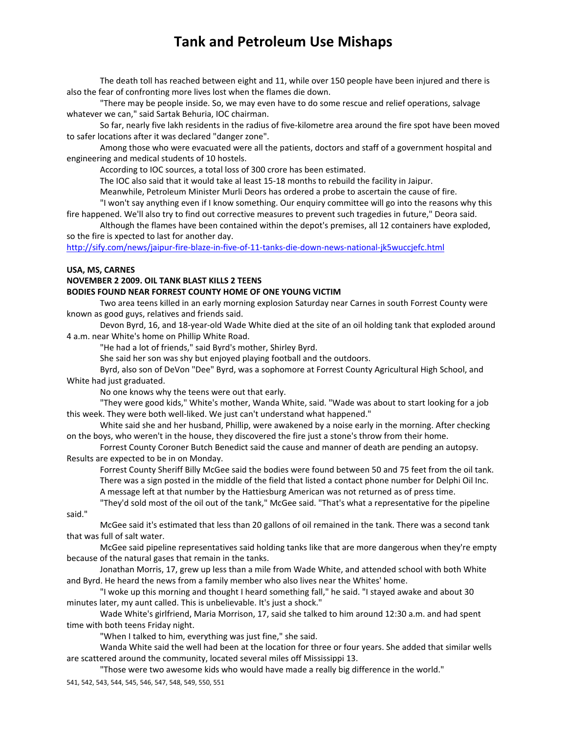The death toll has reached between eight and 11, while over 150 people have been injured and there is also the fear of confronting more lives lost when the flames die down.

"There may be people inside. So, we may even have to do some rescue and relief operations, salvage whatever we can," said Sartak Behuria, IOC chairman.

So far, nearly five lakh residents in the radius of five‐kilometre area around the fire spot have been moved to safer locations after it was declared "danger zone".

Among those who were evacuated were all the patients, doctors and staff of a government hospital and engineering and medical students of 10 hostels.

According to IOC sources, a total loss of 300 crore has been estimated.

The IOC also said that it would take al least 15‐18 months to rebuild the facility in Jaipur.

Meanwhile, Petroleum Minister Murli Deors has ordered a probe to ascertain the cause of fire.

"I won't say anything even if I know something. Our enquiry committee will go into the reasons why this fire happened. We'll also try to find out corrective measures to prevent such tragedies in future," Deora said.

Although the flames have been contained within the depot's premises, all 12 containers have exploded, so the fire is xpected to last for another day.

http://sify.com/news/jaipur‐fire‐blaze‐in‐five‐of‐11‐tanks‐die‐down‐news‐national‐jk5wuccjefc.html

#### **USA, MS, CARNES**

said."

### **NOVEMBER 2 2009. OIL TANK BLAST KILLS 2 TEENS**

#### **BODIES FOUND NEAR FORREST COUNTY HOME OF ONE YOUNG VICTIM**

Two area teens killed in an early morning explosion Saturday near Carnes in south Forrest County were known as good guys, relatives and friends said.

Devon Byrd, 16, and 18‐year‐old Wade White died at the site of an oil holding tank that exploded around 4 a.m. near White's home on Phillip White Road.

"He had a lot of friends," said Byrd's mother, Shirley Byrd.

She said her son was shy but enjoyed playing football and the outdoors.

Byrd, also son of DeVon "Dee" Byrd, was a sophomore at Forrest County Agricultural High School, and White had just graduated.

No one knows why the teens were out that early.

"They were good kids," White's mother, Wanda White, said. "Wade was about to start looking for a job this week. They were both well-liked. We just can't understand what happened."

White said she and her husband, Phillip, were awakened by a noise early in the morning. After checking on the boys, who weren't in the house, they discovered the fire just a stone's throw from their home.

Forrest County Coroner Butch Benedict said the cause and manner of death are pending an autopsy. Results are expected to be in on Monday.

Forrest County Sheriff Billy McGee said the bodies were found between 50 and 75 feet from the oil tank. There was a sign posted in the middle of the field that listed a contact phone number for Delphi Oil Inc. A message left at that number by the Hattiesburg American was not returned as of press time.

"They'd sold most of the oil out of the tank," McGee said. "That's what a representative for the pipeline

McGee said it's estimated that less than 20 gallons of oil remained in the tank. There was a second tank that was full of salt water.

McGee said pipeline representatives said holding tanks like that are more dangerous when they're empty because of the natural gases that remain in the tanks.

Jonathan Morris, 17, grew up less than a mile from Wade White, and attended school with both White and Byrd. He heard the news from a family member who also lives near the Whites' home.

"I woke up this morning and thought I heard something fall," he said. "I stayed awake and about 30 minutes later, my aunt called. This is unbelievable. It's just a shock."

Wade White's girlfriend, Maria Morrison, 17, said she talked to him around 12:30 a.m. and had spent time with both teens Friday night.

"When I talked to him, everything was just fine," she said.

Wanda White said the well had been at the location for three or four years. She added that similar wells are scattered around the community, located several miles off Mississippi 13.

541, 542, 543, 544, 545, 546, 547, 548, 549, 550, 551 "Those were two awesome kids who would have made a really big difference in the world."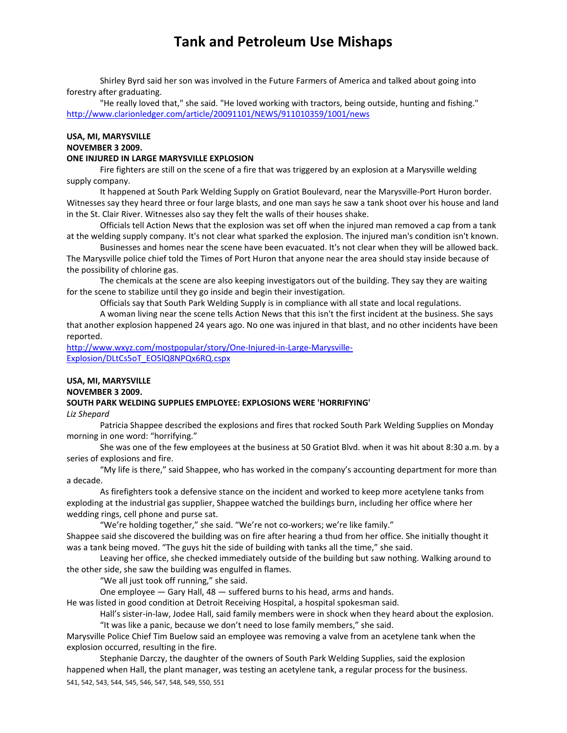Shirley Byrd said her son was involved in the Future Farmers of America and talked about going into forestry after graduating.

"He really loved that," she said. "He loved working with tractors, being outside, hunting and fishing." http://www.clarionledger.com/article/20091101/NEWS/911010359/1001/news

# **USA, MI, MARYSVILLE NOVEMBER 3 2009.**

### **ONE INJURED IN LARGE MARYSVILLE EXPLOSION**

Fire fighters are still on the scene of a fire that was triggered by an explosion at a Marysville welding supply company.

It happened at South Park Welding Supply on Gratiot Boulevard, near the Marysville‐Port Huron border. Witnesses say they heard three or four large blasts, and one man says he saw a tank shoot over his house and land in the St. Clair River. Witnesses also say they felt the walls of their houses shake.

Officials tell Action News that the explosion was set off when the injured man removed a cap from a tank at the welding supply company. It's not clear what sparked the explosion. The injured man's condition isn't known.

Businesses and homes near the scene have been evacuated. It's not clear when they will be allowed back. The Marysville police chief told the Times of Port Huron that anyone near the area should stay inside because of the possibility of chlorine gas.

The chemicals at the scene are also keeping investigators out of the building. They say they are waiting for the scene to stabilize until they go inside and begin their investigation.

Officials say that South Park Welding Supply is in compliance with all state and local regulations.

A woman living near the scene tells Action News that this isn't the first incident at the business. She says that another explosion happened 24 years ago. No one was injured in that blast, and no other incidents have been reported.

http://www.wxyz.com/mostpopular/story/One‐Injured‐in‐Large‐Marysville‐ Explosion/DLtCs5oT\_EO5lQ8NPQx6RQ.cspx

# **USA, MI, MARYSVILLE**

# **NOVEMBER 3 2009.**

#### **SOUTH PARK WELDING SUPPLIES EMPLOYEE: EXPLOSIONS WERE 'HORRIFYING'**

*Liz Shepard*

Patricia Shappee described the explosions and fires that rocked South Park Welding Supplies on Monday morning in one word: "horrifying."

She was one of the few employees at the business at 50 Gratiot Blvd. when it was hit about 8:30 a.m. by a series of explosions and fire.

"My life is there," said Shappee, who has worked in the company's accounting department for more than a decade.

As firefighters took a defensive stance on the incident and worked to keep more acetylene tanks from exploding at the industrial gas supplier, Shappee watched the buildings burn, including her office where her wedding rings, cell phone and purse sat.

"We're holding together," she said. "We're not co‐workers; we're like family."

Shappee said she discovered the building was on fire after hearing a thud from her office. She initially thought it was a tank being moved. "The guys hit the side of building with tanks all the time," she said.

Leaving her office, she checked immediately outside of the building but saw nothing. Walking around to the other side, she saw the building was engulfed in flames.

"We all just took off running," she said.

One employee — Gary Hall, 48 — suffered burns to his head, arms and hands.

He was listed in good condition at Detroit Receiving Hospital, a hospital spokesman said.

Hall's sister-in-law, Jodee Hall, said family members were in shock when they heard about the explosion. "It was like a panic, because we don't need to lose family members," she said.

Marysville Police Chief Tim Buelow said an employee was removing a valve from an acetylene tank when the explosion occurred, resulting in the fire.

541, 542, 543, 544, 545, 546, 547, 548, 549, 550, 551 Stephanie Darczy, the daughter of the owners of South Park Welding Supplies, said the explosion happened when Hall, the plant manager, was testing an acetylene tank, a regular process for the business.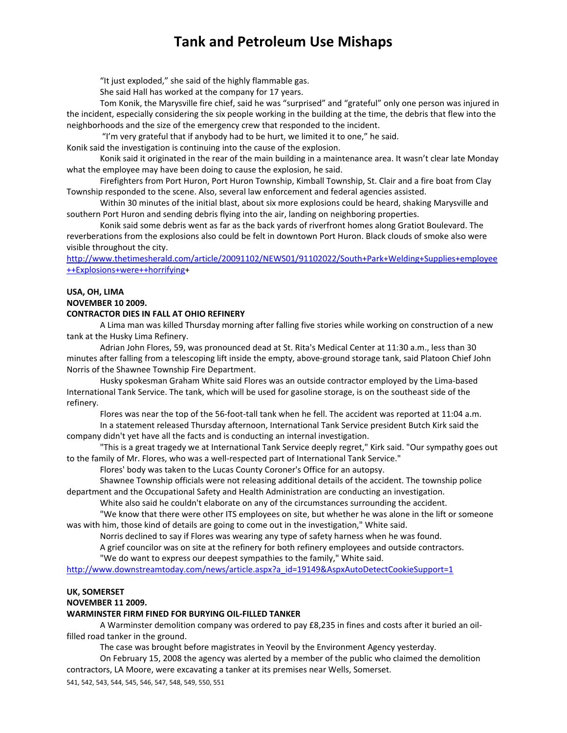"It just exploded," she said of the highly flammable gas.

She said Hall has worked at the company for 17 years.

Tom Konik, the Marysville fire chief, said he was "surprised" and "grateful" only one person was injured in the incident, especially considering the six people working in the building at the time, the debris that flew into the neighborhoods and the size of the emergency crew that responded to the incident.

"I'm very grateful that if anybody had to be hurt, we limited it to one," he said.

Konik said the investigation is continuing into the cause of the explosion.

Konik said it originated in the rear of the main building in a maintenance area. It wasn't clear late Monday what the employee may have been doing to cause the explosion, he said.

Firefighters from Port Huron, Port Huron Township, Kimball Township, St. Clair and a fire boat from Clay Township responded to the scene. Also, several law enforcement and federal agencies assisted.

Within 30 minutes of the initial blast, about six more explosions could be heard, shaking Marysville and southern Port Huron and sending debris flying into the air, landing on neighboring properties.

Konik said some debris went as far as the back yards of riverfront homes along Gratiot Boulevard. The reverberations from the explosions also could be felt in downtown Port Huron. Black clouds of smoke also were visible throughout the city.

http://www.thetimesherald.com/article/20091102/NEWS01/91102022/South+Park+Welding+Supplies+employee ++Explosions+were++horrifying+

### **USA, OH, LIMA NOVEMBER 10 2009. CONTRACTOR DIES IN FALL AT OHIO REFINERY**

A Lima man was killed Thursday morning after falling five stories while working on construction of a new tank at the Husky Lima Refinery.

Adrian John Flores, 59, was pronounced dead at St. Rita's Medical Center at 11:30 a.m., less than 30 minutes after falling from a telescoping lift inside the empty, above‐ground storage tank, said Platoon Chief John Norris of the Shawnee Township Fire Department.

Husky spokesman Graham White said Flores was an outside contractor employed by the Lima‐based International Tank Service. The tank, which will be used for gasoline storage, is on the southeast side of the refinery.

Flores was near the top of the 56-foot-tall tank when he fell. The accident was reported at 11:04 a.m. In a statement released Thursday afternoon, International Tank Service president Butch Kirk said the company didn't yet have all the facts and is conducting an internal investigation.

"This is a great tragedy we at International Tank Service deeply regret," Kirk said. "Our sympathy goes out to the family of Mr. Flores, who was a well-respected part of International Tank Service."

Flores' body was taken to the Lucas County Coroner's Office for an autopsy.

Shawnee Township officials were not releasing additional details of the accident. The township police department and the Occupational Safety and Health Administration are conducting an investigation.

White also said he couldn't elaborate on any of the circumstances surrounding the accident.

"We know that there were other ITS employees on site, but whether he was alone in the lift or someone was with him, those kind of details are going to come out in the investigation," White said.

Norris declined to say if Flores was wearing any type of safety harness when he was found.

A grief councilor was on site at the refinery for both refinery employees and outside contractors.

"We do want to express our deepest sympathies to the family," White said.

http://www.downstreamtoday.com/news/article.aspx?a\_id=19149&AspxAutoDetectCookieSupport=1

## **UK, SOMERSET**

#### **NOVEMBER 11 2009.**

#### **WARMINSTER FIRM FINED FOR BURYING OIL‐FILLED TANKER**

A Warminster demolition company was ordered to pay £8,235 in fines and costs after it buried an oil‐ filled road tanker in the ground.

The case was brought before magistrates in Yeovil by the Environment Agency yesterday.

On February 15, 2008 the agency was alerted by a member of the public who claimed the demolition contractors, LA Moore, were excavating a tanker at its premises near Wells, Somerset.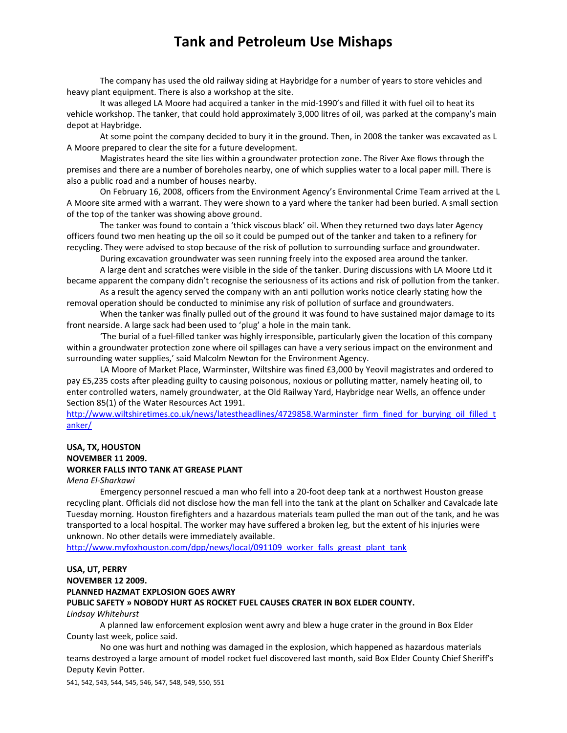The company has used the old railway siding at Haybridge for a number of years to store vehicles and heavy plant equipment. There is also a workshop at the site.

It was alleged LA Moore had acquired a tanker in the mid-1990's and filled it with fuel oil to heat its vehicle workshop. The tanker, that could hold approximately 3,000 litres of oil, was parked at the company's main depot at Haybridge.

At some point the company decided to bury it in the ground. Then, in 2008 the tanker was excavated as L A Moore prepared to clear the site for a future development.

Magistrates heard the site lies within a groundwater protection zone. The River Axe flows through the premises and there are a number of boreholes nearby, one of which supplies water to a local paper mill. There is also a public road and a number of houses nearby.

On February 16, 2008, officers from the Environment Agency's Environmental Crime Team arrived at the L A Moore site armed with a warrant. They were shown to a yard where the tanker had been buried. A small section of the top of the tanker was showing above ground.

The tanker was found to contain a 'thick viscous black' oil. When they returned two days later Agency officers found two men heating up the oil so it could be pumped out of the tanker and taken to a refinery for recycling. They were advised to stop because of the risk of pollution to surrounding surface and groundwater.

During excavation groundwater was seen running freely into the exposed area around the tanker.

A large dent and scratches were visible in the side of the tanker. During discussions with LA Moore Ltd it became apparent the company didn't recognise the seriousness of its actions and risk of pollution from the tanker.

As a result the agency served the company with an anti pollution works notice clearly stating how the removal operation should be conducted to minimise any risk of pollution of surface and groundwaters.

When the tanker was finally pulled out of the ground it was found to have sustained major damage to its front nearside. A large sack had been used to 'plug' a hole in the main tank.

'The burial of a fuel‐filled tanker was highly irresponsible, particularly given the location of this company within a groundwater protection zone where oil spillages can have a very serious impact on the environment and surrounding water supplies,' said Malcolm Newton for the Environment Agency.

LA Moore of Market Place, Warminster, Wiltshire was fined £3,000 by Yeovil magistrates and ordered to pay £5,235 costs after pleading guilty to causing poisonous, noxious or polluting matter, namely heating oil, to enter controlled waters, namely groundwater, at the Old Railway Yard, Haybridge near Wells, an offence under Section 85(1) of the Water Resources Act 1991.

http://www.wiltshiretimes.co.uk/news/latestheadlines/4729858.Warminster\_firm\_fined\_for\_burying\_oil\_filled\_t anker/

### **USA, TX, HOUSTON NOVEMBER 11 2009. WORKER FALLS INTO TANK AT GREASE PLANT**

*Mena El‐Sharkawi*

Emergency personnel rescued a man who fell into a 20‐foot deep tank at a northwest Houston grease recycling plant. Officials did not disclose how the man fell into the tank at the plant on Schalker and Cavalcade late Tuesday morning. Houston firefighters and a hazardous materials team pulled the man out of the tank, and he was transported to a local hospital. The worker may have suffered a broken leg, but the extent of his injuries were unknown. No other details were immediately available.

http://www.myfoxhouston.com/dpp/news/local/091109\_worker\_falls\_greast\_plant\_tank

### **USA, UT, PERRY NOVEMBER 12 2009. PLANNED HAZMAT EXPLOSION GOES AWRY PUBLIC SAFETY » NOBODY HURT AS ROCKET FUEL CAUSES CRATER IN BOX ELDER COUNTY.** *Lindsay Whitehurst*

A planned law enforcement explosion went awry and blew a huge crater in the ground in Box Elder County last week, police said.

No one was hurt and nothing was damaged in the explosion, which happened as hazardous materials teams destroyed a large amount of model rocket fuel discovered last month, said Box Elder County Chief Sheriff's Deputy Kevin Potter.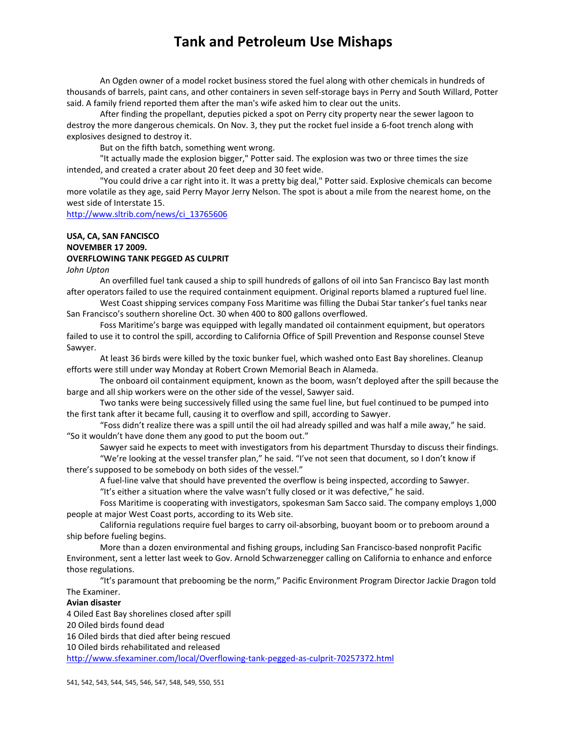An Ogden owner of a model rocket business stored the fuel along with other chemicals in hundreds of thousands of barrels, paint cans, and other containers in seven self‐storage bays in Perry and South Willard, Potter said. A family friend reported them after the man's wife asked him to clear out the units.

After finding the propellant, deputies picked a spot on Perry city property near the sewer lagoon to destroy the more dangerous chemicals. On Nov. 3, they put the rocket fuel inside a 6‐foot trench along with explosives designed to destroy it.

But on the fifth batch, something went wrong.

"It actually made the explosion bigger," Potter said. The explosion was two or three times the size intended, and created a crater about 20 feet deep and 30 feet wide.

"You could drive a car right into it. It was a pretty big deal," Potter said. Explosive chemicals can become more volatile as they age, said Perry Mayor Jerry Nelson. The spot is about a mile from the nearest home, on the west side of Interstate 15.

http://www.sltrib.com/news/ci\_13765606

#### **USA, CA, SAN FANCISCO NOVEMBER 17 2009. OVERFLOWING TANK PEGGED AS CULPRIT**

*John Upton*

An overfilled fuel tank caused a ship to spill hundreds of gallons of oil into San Francisco Bay last month after operators failed to use the required containment equipment. Original reports blamed a ruptured fuel line.

West Coast shipping services company Foss Maritime was filling the Dubai Star tanker's fuel tanks near San Francisco's southern shoreline Oct. 30 when 400 to 800 gallons overflowed.

Foss Maritime's barge was equipped with legally mandated oil containment equipment, but operators failed to use it to control the spill, according to California Office of Spill Prevention and Response counsel Steve Sawyer.

At least 36 birds were killed by the toxic bunker fuel, which washed onto East Bay shorelines. Cleanup efforts were still under way Monday at Robert Crown Memorial Beach in Alameda.

The onboard oil containment equipment, known as the boom, wasn't deployed after the spill because the barge and all ship workers were on the other side of the vessel, Sawyer said.

Two tanks were being successively filled using the same fuel line, but fuel continued to be pumped into the first tank after it became full, causing it to overflow and spill, according to Sawyer.

"Foss didn't realize there was a spill until the oil had already spilled and was half a mile away," he said. "So it wouldn't have done them any good to put the boom out."

Sawyer said he expects to meet with investigators from his department Thursday to discuss their findings. "We're looking at the vessel transfer plan," he said. "I've not seen that document, so I don't know if

there's supposed to be somebody on both sides of the vessel."

A fuel‐line valve that should have prevented the overflow is being inspected, according to Sawyer.

"It's either a situation where the valve wasn't fully closed or it was defective," he said.

Foss Maritime is cooperating with investigators, spokesman Sam Sacco said. The company employs 1,000 people at major West Coast ports, according to its Web site.

California regulations require fuel barges to carry oil‐absorbing, buoyant boom or to preboom around a ship before fueling begins.

More than a dozen environmental and fishing groups, including San Francisco-based nonprofit Pacific Environment, sent a letter last week to Gov. Arnold Schwarzenegger calling on California to enhance and enforce those regulations.

"It's paramount that prebooming be the norm," Pacific Environment Program Director Jackie Dragon told The Examiner.

#### **Avian disaster**

 Oiled East Bay shorelines closed after spill Oiled birds found dead Oiled birds that died after being rescued Oiled birds rehabilitated and released http://www.sfexaminer.com/local/Overflowing-tank-pegged-as-culprit-70257372.html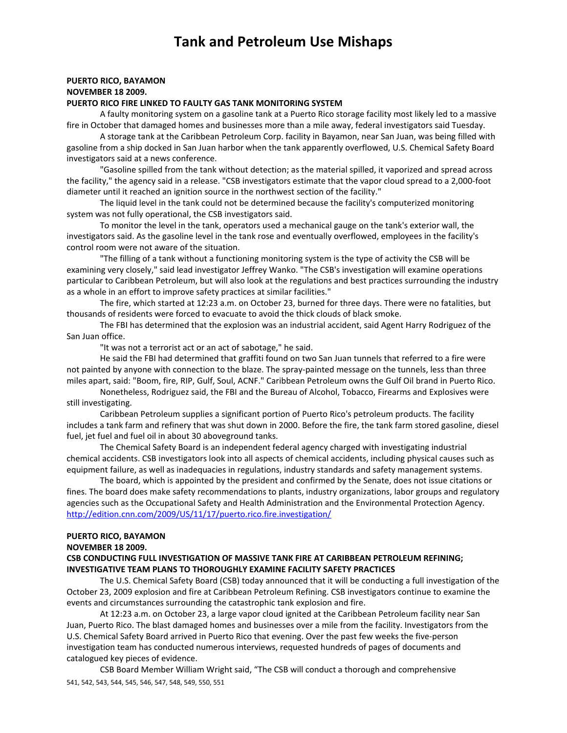## **PUERTO RICO, BAYAMON NOVEMBER 18 2009.**

## **PUERTO RICO FIRE LINKED TO FAULTY GAS TANK MONITORING SYSTEM**

A faulty monitoring system on a gasoline tank at a Puerto Rico storage facility most likely led to a massive fire in October that damaged homes and businesses more than a mile away, federal investigators said Tuesday.

A storage tank at the Caribbean Petroleum Corp. facility in Bayamon, near San Juan, was being filled with gasoline from a ship docked in San Juan harbor when the tank apparently overflowed, U.S. Chemical Safety Board investigators said at a news conference.

"Gasoline spilled from the tank without detection; as the material spilled, it vaporized and spread across the facility," the agency said in a release. "CSB investigators estimate that the vapor cloud spread to a 2,000‐foot diameter until it reached an ignition source in the northwest section of the facility."

The liquid level in the tank could not be determined because the facility's computerized monitoring system was not fully operational, the CSB investigators said.

To monitor the level in the tank, operators used a mechanical gauge on the tank's exterior wall, the investigators said. As the gasoline level in the tank rose and eventually overflowed, employees in the facility's control room were not aware of the situation.

"The filling of a tank without a functioning monitoring system is the type of activity the CSB will be examining very closely," said lead investigator Jeffrey Wanko. "The CSB's investigation will examine operations particular to Caribbean Petroleum, but will also look at the regulations and best practices surrounding the industry as a whole in an effort to improve safety practices at similar facilities."

The fire, which started at 12:23 a.m. on October 23, burned for three days. There were no fatalities, but thousands of residents were forced to evacuate to avoid the thick clouds of black smoke.

The FBI has determined that the explosion was an industrial accident, said Agent Harry Rodriguez of the San Juan office.

"It was not a terrorist act or an act of sabotage," he said.

He said the FBI had determined that graffiti found on two San Juan tunnels that referred to a fire were not painted by anyone with connection to the blaze. The spray‐painted message on the tunnels, less than three miles apart, said: "Boom, fire, RIP, Gulf, Soul, ACNF." Caribbean Petroleum owns the Gulf Oil brand in Puerto Rico.

Nonetheless, Rodriguez said, the FBI and the Bureau of Alcohol, Tobacco, Firearms and Explosives were still investigating.

Caribbean Petroleum supplies a significant portion of Puerto Rico's petroleum products. The facility includes a tank farm and refinery that was shut down in 2000. Before the fire, the tank farm stored gasoline, diesel fuel, jet fuel and fuel oil in about 30 aboveground tanks.

The Chemical Safety Board is an independent federal agency charged with investigating industrial chemical accidents. CSB investigators look into all aspects of chemical accidents, including physical causes such as equipment failure, as well as inadequacies in regulations, industry standards and safety management systems.

The board, which is appointed by the president and confirmed by the Senate, does not issue citations or fines. The board does make safety recommendations to plants, industry organizations, labor groups and regulatory agencies such as the Occupational Safety and Health Administration and the Environmental Protection Agency. http://edition.cnn.com/2009/US/11/17/puerto.rico.fire.investigation/

### **PUERTO RICO, BAYAMON**

#### **NOVEMBER 18 2009.**

**CSB CONDUCTING FULL INVESTIGATION OF MASSIVE TANK FIRE AT CARIBBEAN PETROLEUM REFINING; INVESTIGATIVE TEAM PLANS TO THOROUGHLY EXAMINE FACILITY SAFETY PRACTICES**

The U.S. Chemical Safety Board (CSB) today announced that it will be conducting a full investigation of the October 23, 2009 explosion and fire at Caribbean Petroleum Refining. CSB investigators continue to examine the events and circumstances surrounding the catastrophic tank explosion and fire.

At 12:23 a.m. on October 23, a large vapor cloud ignited at the Caribbean Petroleum facility near San Juan, Puerto Rico. The blast damaged homes and businesses over a mile from the facility. Investigators from the U.S. Chemical Safety Board arrived in Puerto Rico that evening. Over the past few weeks the five‐person investigation team has conducted numerous interviews, requested hundreds of pages of documents and catalogued key pieces of evidence.

541, 542, 543, 544, 545, 546, 547, 548, 549, 550, 551 CSB Board Member William Wright said, "The CSB will conduct a thorough and comprehensive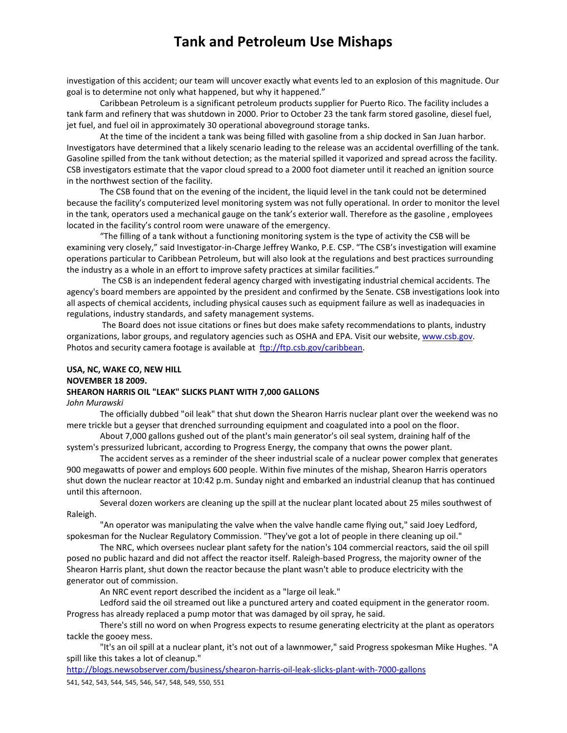investigation of this accident; our team will uncover exactly what events led to an explosion of this magnitude. Our goal is to determine not only what happened, but why it happened."

Caribbean Petroleum is a significant petroleum products supplier for Puerto Rico. The facility includes a tank farm and refinery that was shutdown in 2000. Prior to October 23 the tank farm stored gasoline, diesel fuel, jet fuel, and fuel oil in approximately 30 operational aboveground storage tanks.

At the time of the incident a tank was being filled with gasoline from a ship docked in San Juan harbor. Investigators have determined that a likely scenario leading to the release was an accidental overfilling of the tank. Gasoline spilled from the tank without detection; as the material spilled it vaporized and spread across the facility. CSB investigators estimate that the vapor cloud spread to a 2000 foot diameter until it reached an ignition source in the northwest section of the facility.

The CSB found that on the evening of the incident, the liquid level in the tank could not be determined because the facility's computerized level monitoring system was not fully operational. In order to monitor the level in the tank, operators used a mechanical gauge on the tank's exterior wall. Therefore as the gasoline , employees located in the facility's control room were unaware of the emergency.

"The filling of a tank without a functioning monitoring system is the type of activity the CSB will be examining very closely," said Investigator-in-Charge Jeffrey Wanko, P.E. CSP. "The CSB's investigation will examine operations particular to Caribbean Petroleum, but will also look at the regulations and best practices surrounding the industry as a whole in an effort to improve safety practices at similar facilities."

The CSB is an independent federal agency charged with investigating industrial chemical accidents. The agency's board members are appointed by the president and confirmed by the Senate. CSB investigations look into all aspects of chemical accidents, including physical causes such as equipment failure as well as inadequacies in regulations, industry standards, and safety management systems.

The Board does not issue citations or fines but does make safety recommendations to plants, industry organizations, labor groups, and regulatory agencies such as OSHA and EPA. Visit our website, www.csb.gov. Photos and security camera footage is available at ftp://ftp.csb.gov/caribbean.

## **USA, NC, WAKE CO, NEW HILL**

**NOVEMBER 18 2009.** 

### **SHEARON HARRIS OIL "LEAK" SLICKS PLANT WITH 7,000 GALLONS**

*John Murawski*

The officially dubbed "oil leak" that shut down the Shearon Harris nuclear plant over the weekend was no mere trickle but a geyser that drenched surrounding equipment and coagulated into a pool on the floor.

About 7,000 gallons gushed out of the plant's main generator's oil seal system, draining half of the system's pressurized lubricant, according to Progress Energy, the company that owns the power plant.

The accident serves as a reminder of the sheer industrial scale of a nuclear power complex that generates 900 megawatts of power and employs 600 people. Within five minutes of the mishap, Shearon Harris operators shut down the nuclear reactor at 10:42 p.m. Sunday night and embarked an industrial cleanup that has continued until this afternoon.

Several dozen workers are cleaning up the spill at the nuclear plant located about 25 miles southwest of Raleigh.

"An operator was manipulating the valve when the valve handle came flying out," said Joey Ledford, spokesman for the Nuclear Regulatory Commission. "They've got a lot of people in there cleaning up oil."

The NRC, which oversees nuclear plant safety for the nation's 104 commercial reactors, said the oil spill posed no public hazard and did not affect the reactor itself. Raleigh‐based Progress, the majority owner of the Shearon Harris plant, shut down the reactor because the plant wasn't able to produce electricity with the generator out of commission.

An NRC event report described the incident as a "large oil leak."

Ledford said the oil streamed out like a punctured artery and coated equipment in the generator room. Progress has already replaced a pump motor that was damaged by oil spray, he said.

There's still no word on when Progress expects to resume generating electricity at the plant as operators tackle the gooey mess.

"It's an oil spill at a nuclear plant, it's not out of a lawnmower," said Progress spokesman Mike Hughes. "A spill like this takes a lot of cleanup."

541, 542, 543, 544, 545, 546, 547, 548, 549, 550, 551 http://blogs.newsobserver.com/business/shearon-harris-oil-leak-slicks-plant-with-7000-gallons